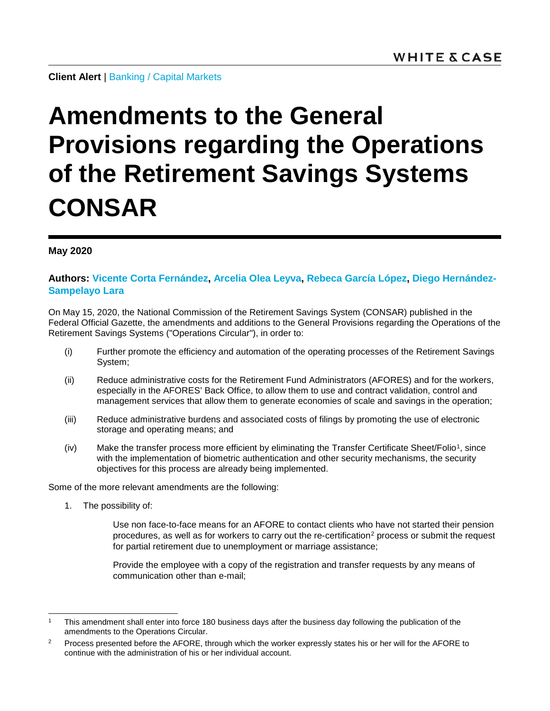**Client Alert** | [Banking](https://www.whitecase.com/law/practices/banking) / [Capital Markets](https://www.whitecase.com/law/practices/capital-markets)

## **Amendments to the General Provisions regarding the Operations of the Retirement Savings Systems CONSAR**

## **May 2020**

## **Authors: [Vicente Corta Fernández,](https://www.whitecase.com/people/vicente-corta-fernandez) [Arcelia Olea](https://www.whitecase.com/people/arcelia-olea-leyva) Leyva, [Rebeca García López,](https://www.whitecase.com/people/rebeca-garcia-lopez) [Diego Hernández-](https://www.whitecase.com/people/diego-hernandez-sampelayo-lara)[Sampelayo Lara](https://www.whitecase.com/people/diego-hernandez-sampelayo-lara)**

On May 15, 2020, the National Commission of the Retirement Savings System (CONSAR) published in the Federal Official Gazette, the amendments and additions to the General Provisions regarding the Operations of the Retirement Savings Systems ("Operations Circular"), in order to:

- (i) Further promote the efficiency and automation of the operating processes of the Retirement Savings System;
- (ii) Reduce administrative costs for the Retirement Fund Administrators (AFORES) and for the workers, especially in the AFORES' Back Office, to allow them to use and contract validation, control and management services that allow them to generate economies of scale and savings in the operation;
- (iii) Reduce administrative burdens and associated costs of filings by promoting the use of electronic storage and operating means; and
- (iv) Make the transfer process more efficient by eliminating the Transfer Certificate Sheet/Folio[1](#page-0-0), since with the implementation of biometric authentication and other security mechanisms, the security objectives for this process are already being implemented.

Some of the more relevant amendments are the following:

1. The possibility of:

Use non face-to-face means for an AFORE to contact clients who have not started their pension procedures, as well as for workers to carry out the re-certification<sup>[2](#page-0-1)</sup> process or submit the request for partial retirement due to unemployment or marriage assistance;

Provide the employee with a copy of the registration and transfer requests by any means of communication other than e-mail;

<span id="page-0-0"></span>This amendment shall enter into force 180 business days after the business day following the publication of the amendments to the Operations Circular.

<span id="page-0-1"></span><sup>&</sup>lt;sup>2</sup> Process presented before the AFORE, through which the worker expressly states his or her will for the AFORE to continue with the administration of his or her individual account.